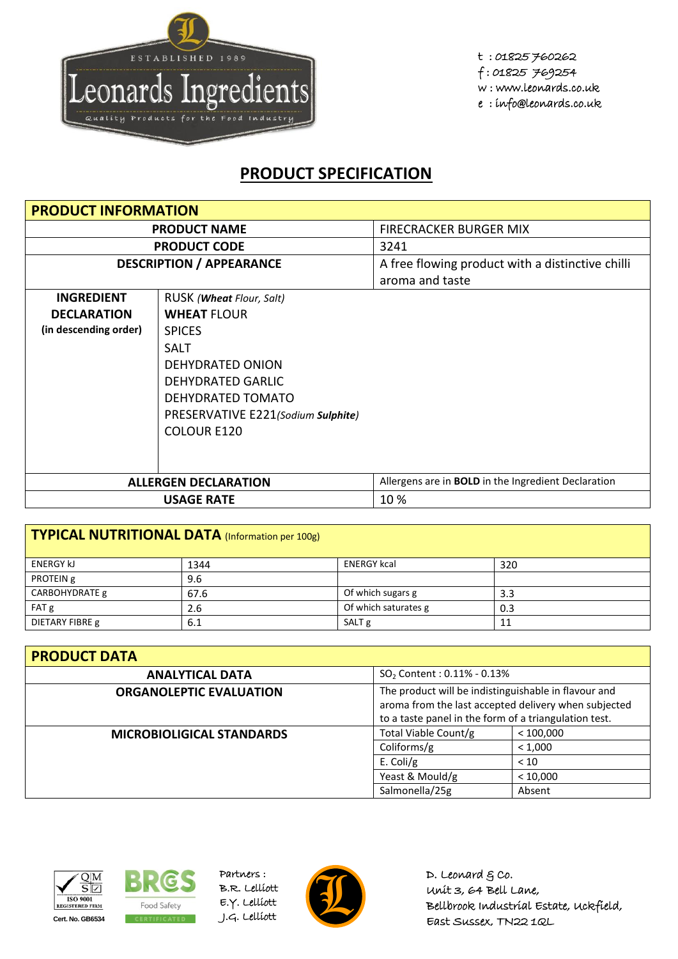

t : 01825 760262 f : 01825 769254 w : www.leonards.co.uk e : info@leonards.co.uk

## **PRODUCT SPECIFICATION**

| <b>PRODUCT INFORMATION</b>      |                                    |                                                                     |  |  |
|---------------------------------|------------------------------------|---------------------------------------------------------------------|--|--|
| <b>PRODUCT NAME</b>             |                                    | <b>FIRECRACKER BURGER MIX</b>                                       |  |  |
|                                 | <b>PRODUCT CODE</b>                | 3241                                                                |  |  |
| <b>DESCRIPTION / APPEARANCE</b> |                                    | A free flowing product with a distinctive chilli<br>aroma and taste |  |  |
| <b>INGREDIENT</b>               | RUSK ( <b>Wheat</b> Flour, Salt)   |                                                                     |  |  |
| <b>DECLARATION</b>              | <b>WHEAT FLOUR</b>                 |                                                                     |  |  |
| (in descending order)           | <b>SPICES</b>                      |                                                                     |  |  |
|                                 | <b>SALT</b>                        |                                                                     |  |  |
|                                 | <b>DEHYDRATED ONION</b>            |                                                                     |  |  |
|                                 | <b>DEHYDRATED GARLIC</b>           |                                                                     |  |  |
|                                 | DEHYDRATED TOMATO                  |                                                                     |  |  |
|                                 | PRESERVATIVE E221(Sodium Sulphite) |                                                                     |  |  |
|                                 | <b>COLOUR E120</b>                 |                                                                     |  |  |
|                                 |                                    |                                                                     |  |  |
|                                 |                                    |                                                                     |  |  |
|                                 | <b>ALLERGEN DECLARATION</b>        | Allergens are in <b>BOLD</b> in the Ingredient Declaration          |  |  |
|                                 | <b>USAGE RATE</b>                  | 10%                                                                 |  |  |

| TYPICAL NUTRITIONAL DATA (Information per 100g) |      |                      |     |  |
|-------------------------------------------------|------|----------------------|-----|--|
| <b>ENERGY KJ</b>                                | 1344 | <b>ENERGY kcal</b>   | 320 |  |
| PROTEIN g                                       | 9.6  |                      |     |  |
| CARBOHYDRATE g                                  | 67.6 | Of which sugars g    | 3.3 |  |
| FAT g                                           | 2.6  | Of which saturates g | 0.3 |  |
| DIETARY FIBRE g                                 | 6.1  | SALT <sub>g</sub>    | 11  |  |

| <b>PRODUCT DATA</b>              |                                                                                                                                                                       |           |  |  |
|----------------------------------|-----------------------------------------------------------------------------------------------------------------------------------------------------------------------|-----------|--|--|
| <b>ANALYTICAL DATA</b>           | $SO2$ Content : 0.11% - 0.13%                                                                                                                                         |           |  |  |
| <b>ORGANOLEPTIC EVALUATION</b>   | The product will be indistinguishable in flavour and<br>aroma from the last accepted delivery when subjected<br>to a taste panel in the form of a triangulation test. |           |  |  |
| <b>MICROBIOLIGICAL STANDARDS</b> | Total Viable Count/g                                                                                                                                                  | < 100,000 |  |  |
|                                  | Coliforms/g                                                                                                                                                           | < 1,000   |  |  |
|                                  | E. Coli/g                                                                                                                                                             | < 10      |  |  |
|                                  | Yeast & Mould/g                                                                                                                                                       | < 10,000  |  |  |
|                                  | Salmonella/25g                                                                                                                                                        | Absent    |  |  |





Partners : B.R. Lelliott E.Y. Lelliott



D. Leonard  $g$  co. Unit 3, 64 Bell Lane, Bellbrook Industrial Estate, Uckfield, East Sussex, TN22 1QL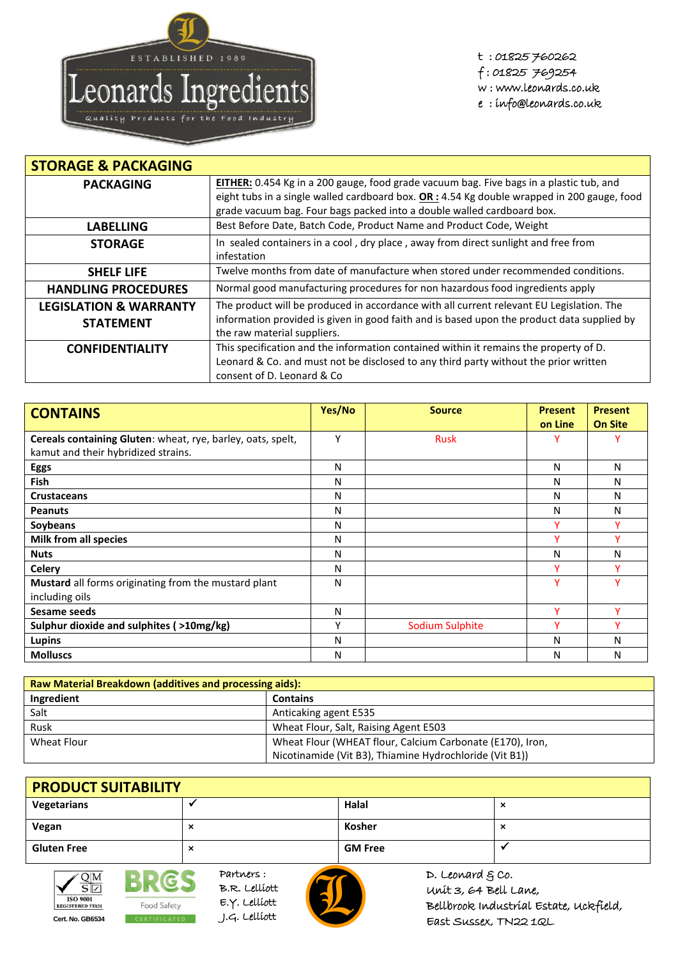

t : 01825 760262 f : 01825 769254 w : www.leonards.co.uk e : info@leonards.co.uk

| <b>STORAGE &amp; PACKAGING</b>    |                                                                                              |
|-----------------------------------|----------------------------------------------------------------------------------------------|
| <b>PACKAGING</b>                  | EITHER: 0.454 Kg in a 200 gauge, food grade vacuum bag. Five bags in a plastic tub, and      |
|                                   | eight tubs in a single walled cardboard box. $OR: 4.54$ Kg double wrapped in 200 gauge, food |
|                                   | grade vacuum bag. Four bags packed into a double walled cardboard box.                       |
| <b>LABELLING</b>                  | Best Before Date, Batch Code, Product Name and Product Code, Weight                          |
| <b>STORAGE</b>                    | In sealed containers in a cool, dry place, away from direct sunlight and free from           |
|                                   | infestation                                                                                  |
| <b>SHELF LIFE</b>                 | Twelve months from date of manufacture when stored under recommended conditions.             |
| <b>HANDLING PROCEDURES</b>        | Normal good manufacturing procedures for non hazardous food ingredients apply                |
| <b>LEGISLATION &amp; WARRANTY</b> | The product will be produced in accordance with all current relevant EU Legislation. The     |
| <b>STATEMENT</b>                  | information provided is given in good faith and is based upon the product data supplied by   |
|                                   | the raw material suppliers.                                                                  |
| <b>CONFIDENTIALITY</b>            | This specification and the information contained within it remains the property of D.        |
|                                   | Leonard & Co. and must not be disclosed to any third party without the prior written         |
|                                   | consent of D. Leonard & Co                                                                   |

| <b>CONTAINS</b>                                             | Yes/No | <b>Source</b>   | <b>Present</b> | <b>Present</b> |
|-------------------------------------------------------------|--------|-----------------|----------------|----------------|
|                                                             |        |                 | on Line        | <b>On Site</b> |
| Cereals containing Gluten: wheat, rye, barley, oats, spelt, | Υ      | <b>Rusk</b>     |                |                |
| kamut and their hybridized strains.                         |        |                 |                |                |
| <b>Eggs</b>                                                 | N      |                 | N              | Ν              |
| <b>Fish</b>                                                 | N      |                 | N              | Ν              |
| <b>Crustaceans</b>                                          | N      |                 | N              | Ν              |
| <b>Peanuts</b>                                              | N      |                 | N              | Ν              |
| Soybeans                                                    | N      |                 |                |                |
| <b>Milk from all species</b>                                | N      |                 |                |                |
| <b>Nuts</b>                                                 | N      |                 | Ν              | Ν              |
| <b>Celery</b>                                               | N      |                 |                |                |
| Mustard all forms originating from the mustard plant        | N      |                 | Y              |                |
| including oils                                              |        |                 |                |                |
| Sesame seeds                                                | N      |                 | v              | v              |
| Sulphur dioxide and sulphites ( >10mg/kg)                   | ٧      | Sodium Sulphite | v              |                |
| Lupins                                                      | N      |                 | Ν              | N              |
| <b>Molluscs</b>                                             | N      |                 | Ν              | Ν              |

| <b>Raw Material Breakdown (additives and processing aids):</b> |                                                           |  |
|----------------------------------------------------------------|-----------------------------------------------------------|--|
| Ingredient                                                     | <b>Contains</b>                                           |  |
| Salt                                                           | Anticaking agent E535                                     |  |
| Rusk                                                           | Wheat Flour, Salt, Raising Agent E503                     |  |
| Wheat Flour                                                    | Wheat Flour (WHEAT flour, Calcium Carbonate (E170), Iron, |  |
|                                                                | Nicotinamide (Vit B3), Thiamine Hydrochloride (Vit B1))   |  |

| <b>PRODUCT SUITABILITY</b> |  |                |   |
|----------------------------|--|----------------|---|
| Vegetarians                |  | Halal          | ᄉ |
| Vegan                      |  | Kosher         | ᄌ |
| <b>Gluten Free</b>         |  | <b>GM Free</b> |   |



**BRES** Food Safety **Cert. No. GB6534** J.G. Lelliott

Partners : B.R. Lelliott E.Y. Lelliott



D. Leonard  $g$  co. Unit 3, 64 Bell Lane, Bellbrook Industrial Estate, Uckfield, East Sussex, TN22 1QL